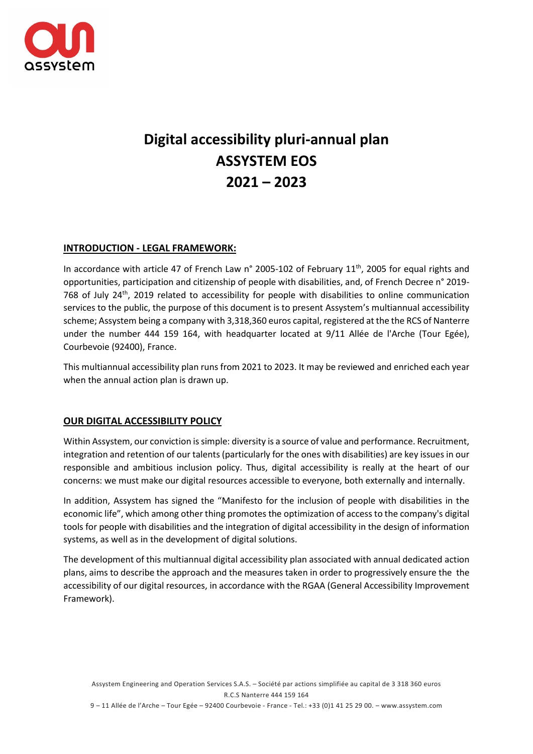

# **Digital accessibility pluri-annual plan ASSYSTEM EOS 2021 – 2023**

## **INTRODUCTION - LEGAL FRAMEWORK:**

In accordance with article 47 of French Law n° 2005-102 of February 11<sup>th</sup>, 2005 for equal rights and opportunities, participation and citizenship of people with disabilities, and, of French Decree n° 2019- 768 of July  $24^{th}$ , 2019 related to accessibility for people with disabilities to online communication services to the public, the purpose of this document is to present Assystem's multiannual accessibility scheme; Assystem being a company with 3,318,360 euros capital, registered at the the RCS of Nanterre under the number 444 159 164, with headquarter located at 9/11 Allée de l'Arche (Tour Egée), Courbevoie (92400), France.

This multiannual accessibility plan runs from 2021 to 2023. It may be reviewed and enriched each year when the annual action plan is drawn up.

## **OUR DIGITAL ACCESSIBILITY POLICY**

Within Assystem, our conviction is simple: diversity is a source of value and performance. Recruitment, integration and retention of our talents (particularly for the ones with disabilities) are key issues in our responsible and ambitious inclusion policy. Thus, digital accessibility is really at the heart of our concerns: we must make our digital resources accessible to everyone, both externally and internally.

In addition, Assystem has signed the "Manifesto for the inclusion of people with disabilities in the economic life", which among other thing promotes the optimization of access to the company's digital tools for people with disabilities and the integration of digital accessibility in the design of information systems, as well as in the development of digital solutions.

The development of this multiannual digital accessibility plan associated with annual dedicated action plans, aims to describe the approach and the measures taken in order to progressively ensure the the accessibility of our digital resources, in accordance with the RGAA (General Accessibility Improvement Framework).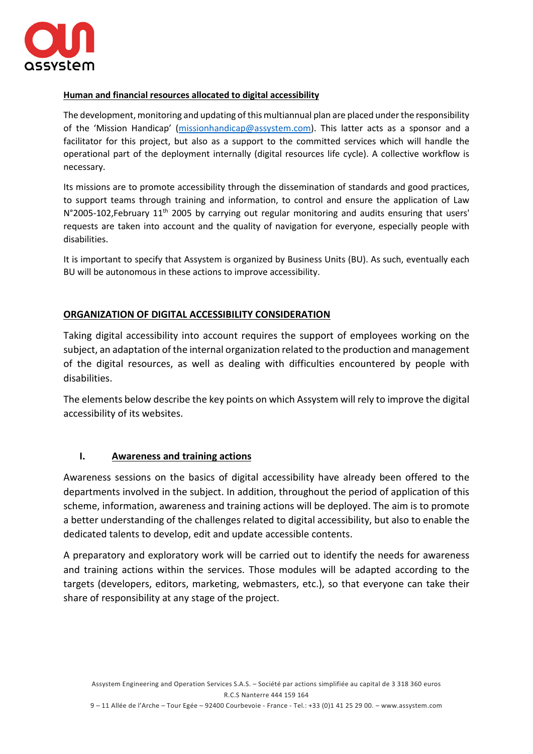

## **Human and financial resources allocated to digital accessibility**

The development, monitoring and updating of this multiannual plan are placed under the responsibility of the 'Mission Handicap' [\(missionhandicap@assystem.com\)](mailto:missionhandicap@assystem.com). This latter acts as a sponsor and a facilitator for this project, but also as a support to the committed services which will handle the operational part of the deployment internally (digital resources life cycle). A collective workflow is necessary.

Its missions are to promote accessibility through the dissemination of standards and good practices, to support teams through training and information, to control and ensure the application of Law N°2005-102, February 11<sup>th</sup> 2005 by carrying out regular monitoring and audits ensuring that users' requests are taken into account and the quality of navigation for everyone, especially people with disabilities.

It is important to specify that Assystem is organized by Business Units (BU). As such, eventually each BU will be autonomous in these actions to improve accessibility.

## **ORGANIZATION OF DIGITAL ACCESSIBILITY CONSIDERATION**

Taking digital accessibility into account requires the support of employees working on the subject, an adaptation of the internal organization related to the production and management of the digital resources, as well as dealing with difficulties encountered by people with disabilities.

The elements below describe the key points on which Assystem will rely to improve the digital accessibility of its websites.

#### **I. Awareness and training actions**

Awareness sessions on the basics of digital accessibility have already been offered to the departments involved in the subject. In addition, throughout the period of application of this scheme, information, awareness and training actions will be deployed. The aim is to promote a better understanding of the challenges related to digital accessibility, but also to enable the dedicated talents to develop, edit and update accessible contents.

A preparatory and exploratory work will be carried out to identify the needs for awareness and training actions within the services. Those modules will be adapted according to the targets (developers, editors, marketing, webmasters, etc.), so that everyone can take their share of responsibility at any stage of the project.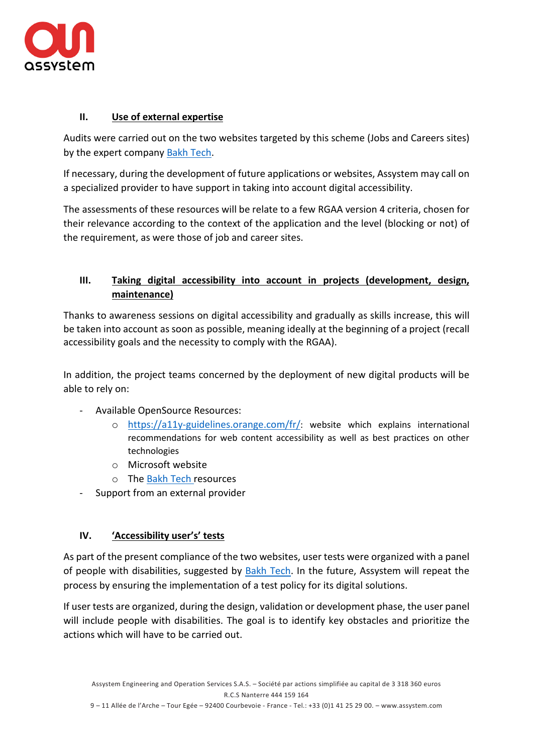

# **II. Use of external expertise**

Audits were carried out on the two websites targeted by this scheme (Jobs and Careers sites) by the expert company [Bakh Tech.](https://bakhtech.com/?gclid=CjwKCAjwj6SEBhAOEiwAvFRuKFF4oZdI_6v9ZnEmJWVbiNifhoc6e4ABbIwQkkPT6qJoUHKSmx-NOxoCBnIQAvD_BwE)

If necessary, during the development of future applications or websites, Assystem may call on a specialized provider to have support in taking into account digital accessibility.

The assessments of these resources will be relate to a few RGAA version 4 criteria, chosen for their relevance according to the context of the application and the level (blocking or not) of the requirement, as were those of job and career sites.

# **III. Taking digital accessibility into account in projects (development, design, maintenance)**

Thanks to awareness sessions on digital accessibility and gradually as skills increase, this will be taken into account as soon as possible, meaning ideally at the beginning of a project (recall accessibility goals and the necessity to comply with the RGAA).

In addition, the project teams concerned by the deployment of new digital products will be able to rely on:

- Available OpenSource Resources:
	- o [https://a11y-guidelines.orange.com/fr/:](https://a11y-guidelines.orange.com/fr/) website which explains international recommendations for web content accessibility as well as best practices on other technologies
	- o Microsoft website
	- o Th[e Bakh Tech](https://bakhtech.com/?gclid=CjwKCAjwj6SEBhAOEiwAvFRuKFF4oZdI_6v9ZnEmJWVbiNifhoc6e4ABbIwQkkPT6qJoUHKSmx-NOxoCBnIQAvD_BwE) resources
- Support from an external provider

## **IV. 'Accessibility user's' tests**

As part of the present compliance of the two websites, user tests were organized with a panel of people with disabilities, suggested by [Bakh Tech.](https://bakhtech.com/?gclid=CjwKCAjwj6SEBhAOEiwAvFRuKFF4oZdI_6v9ZnEmJWVbiNifhoc6e4ABbIwQkkPT6qJoUHKSmx-NOxoCBnIQAvD_BwE) In the future, Assystem will repeat the process by ensuring the implementation of a test policy for its digital solutions.

If user tests are organized, during the design, validation or development phase, the user panel will include people with disabilities. The goal is to identify key obstacles and prioritize the actions which will have to be carried out.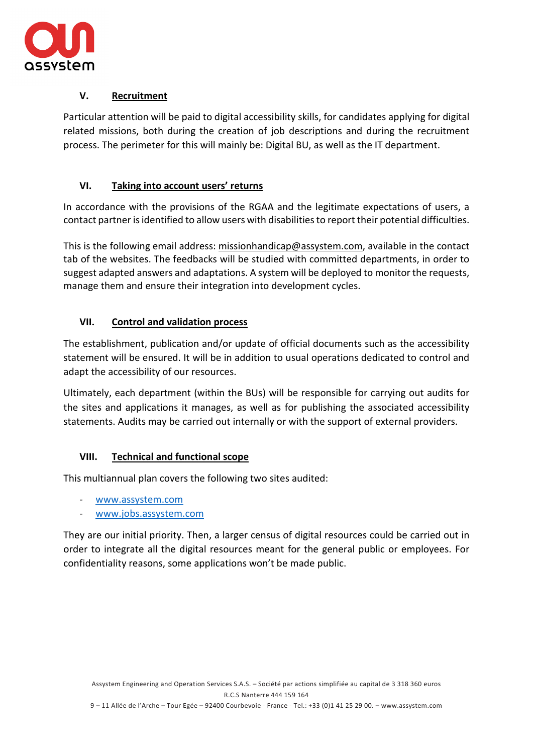

# **V. Recruitment**

Particular attention will be paid to digital accessibility skills, for candidates applying for digital related missions, both during the creation of job descriptions and during the recruitment process. The perimeter for this will mainly be: Digital BU, as well as the IT department.

# **VI. Taking into account users' returns**

In accordance with the provisions of the RGAA and the legitimate expectations of users, a contact partner is identified to allow users with disabilities to report their potential difficulties.

This is the following email address: [missionhandicap@assystem.com,](mailto:missionhandicap@assystem.com) available in the contact tab of the websites. The feedbacks will be studied with committed departments, in order to suggest adapted answers and adaptations. A system will be deployed to monitor the requests, manage them and ensure their integration into development cycles.

# **VII. Control and validation process**

The establishment, publication and/or update of official documents such as the accessibility statement will be ensured. It will be in addition to usual operations dedicated to control and adapt the accessibility of our resources.

Ultimately, each department (within the BUs) will be responsible for carrying out audits for the sites and applications it manages, as well as for publishing the associated accessibility statements. Audits may be carried out internally or with the support of external providers.

## **VIII. Technical and functional scope**

This multiannual plan covers the following two sites audited:

- [www.assystem.com](http://www.assystem.com/)
- [www.jobs.assystem.com](http://www.jobs.assystem.com/)

They are our initial priority. Then, a larger census of digital resources could be carried out in order to integrate all the digital resources meant for the general public or employees. For confidentiality reasons, some applications won't be made public.